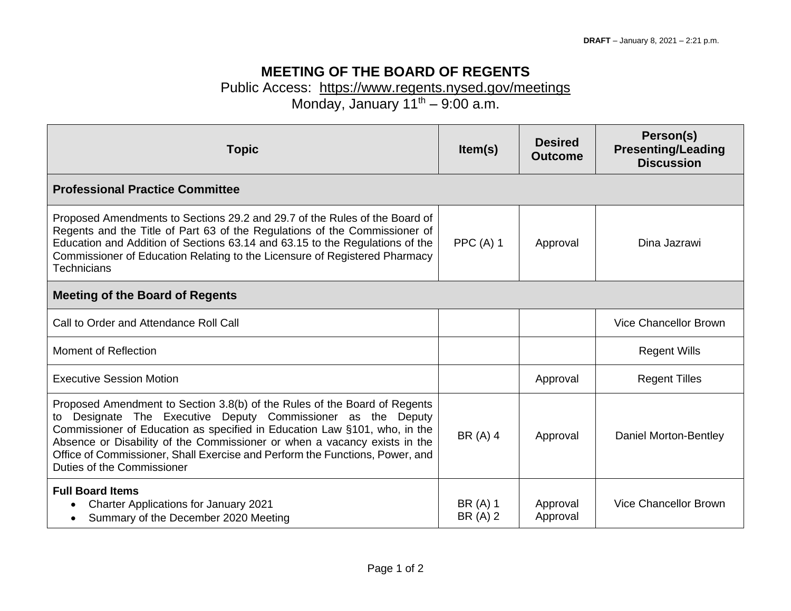## **MEETING OF THE BOARD OF REGENTS**

## Public Access: <https://www.regents.nysed.gov/meetings>

Monday, January  $11^{th} - 9:00$  a.m.

| <b>Topic</b>                                                                                                                                                                                                                                                                                                                                                                                                         | Item(s)              | <b>Desired</b><br><b>Outcome</b> | Person(s)<br><b>Presenting/Leading</b><br><b>Discussion</b> |  |  |
|----------------------------------------------------------------------------------------------------------------------------------------------------------------------------------------------------------------------------------------------------------------------------------------------------------------------------------------------------------------------------------------------------------------------|----------------------|----------------------------------|-------------------------------------------------------------|--|--|
| <b>Professional Practice Committee</b>                                                                                                                                                                                                                                                                                                                                                                               |                      |                                  |                                                             |  |  |
| Proposed Amendments to Sections 29.2 and 29.7 of the Rules of the Board of<br>Regents and the Title of Part 63 of the Regulations of the Commissioner of<br>Education and Addition of Sections 63.14 and 63.15 to the Regulations of the<br>Commissioner of Education Relating to the Licensure of Registered Pharmacy<br><b>Technicians</b>                                                                         | PPC $(A)$ 1          | Approval                         | Dina Jazrawi                                                |  |  |
| <b>Meeting of the Board of Regents</b>                                                                                                                                                                                                                                                                                                                                                                               |                      |                                  |                                                             |  |  |
| Call to Order and Attendance Roll Call                                                                                                                                                                                                                                                                                                                                                                               |                      |                                  | <b>Vice Chancellor Brown</b>                                |  |  |
| Moment of Reflection                                                                                                                                                                                                                                                                                                                                                                                                 |                      |                                  | <b>Regent Wills</b>                                         |  |  |
| <b>Executive Session Motion</b>                                                                                                                                                                                                                                                                                                                                                                                      |                      | Approval                         | <b>Regent Tilles</b>                                        |  |  |
| Proposed Amendment to Section 3.8(b) of the Rules of the Board of Regents<br>Designate The Executive Deputy Commissioner as the Deputy<br>to<br>Commissioner of Education as specified in Education Law §101, who, in the<br>Absence or Disability of the Commissioner or when a vacancy exists in the<br>Office of Commissioner, Shall Exercise and Perform the Functions, Power, and<br>Duties of the Commissioner | BR (A) 4             | Approval                         | Daniel Morton-Bentley                                       |  |  |
| <b>Full Board Items</b><br><b>Charter Applications for January 2021</b><br>Summary of the December 2020 Meeting                                                                                                                                                                                                                                                                                                      | BR (A) 1<br>BR (A) 2 | Approval<br>Approval             | <b>Vice Chancellor Brown</b>                                |  |  |